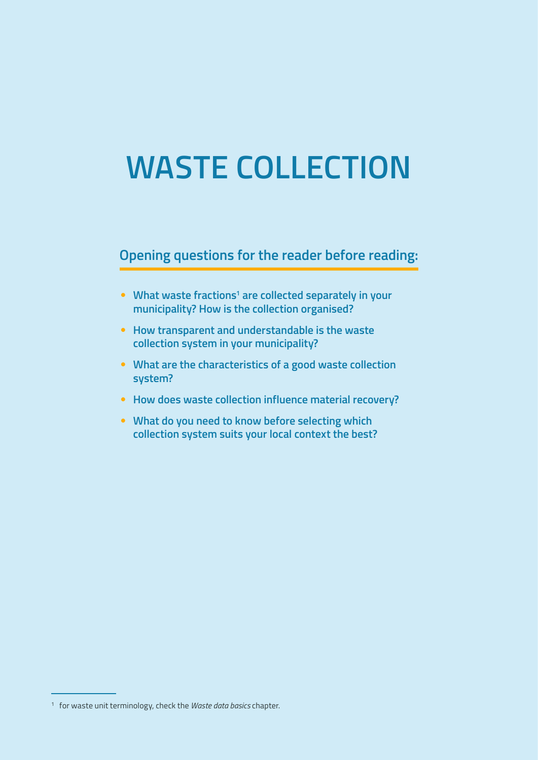# **WASTE COLLECTION**

# **Opening questions for the reader before reading:**

- **•** What waste fractions<sup>1</sup> are collected separately in your **municipality? How is the collection organised?**
- **How transparent and understandable is the waste collection system in your municipality?**
- **What are the characteristics of a good waste collection system?**
- **How does waste collection influence material recovery?**
- **What do you need to know before selecting which collection system suits your local context the best?**

<sup>1</sup> for waste unit terminology, check the *Waste data basics* chapter.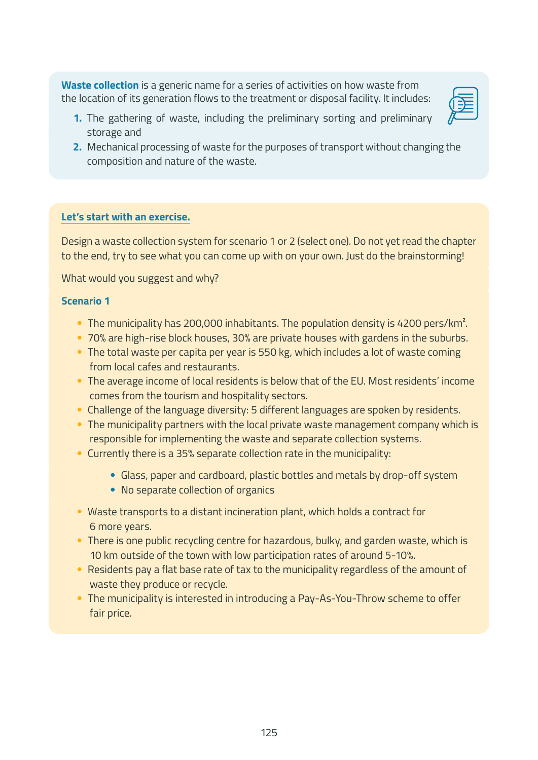**Waste collection** is a generic name for a series of activities on how waste from the location of its generation flows to the treatment or disposal facility. It includes:

- 
- **1.** The gathering of waste, including the preliminary sorting and preliminary storage and
- **2.** Mechanical processing of waste for the purposes of transport without changing the composition and nature of the waste.

# **Let's start with an exercise.**

Design a waste collection system for scenario 1 or 2 (select one). Do not yet read the chapter to the end, try to see what you can come up with on your own. Just do the brainstorming!

What would you suggest and why?

# **Scenario 1**

- The municipality has 200,000 inhabitants. The population density is 4200 pers/km<sup>2</sup>.
- 70% are high-rise block houses, 30% are private houses with gardens in the suburbs.
- The total waste per capita per year is 550 kg, which includes a lot of waste coming from local cafes and restaurants.
- The average income of local residents is below that of the EU. Most residents' income comes from the tourism and hospitality sectors.
- Challenge of the language diversity: 5 different languages are spoken by residents.
- The municipality partners with the local private waste management company which is responsible for implementing the waste and separate collection systems.
- Currently there is a 35% separate collection rate in the municipality:
	- Glass, paper and cardboard, plastic bottles and metals by drop-off system
	- No separate collection of organics
- Waste transports to a distant incineration plant, which holds a contract for 6 more years.
- There is one public recycling centre for hazardous, bulky, and garden waste, which is 10 km outside of the town with low participation rates of around 5-10%.
- Residents pay a flat base rate of tax to the municipality regardless of the amount of waste they produce or recycle.
- The municipality is interested in introducing a Pay-As-You-Throw scheme to offer fair price.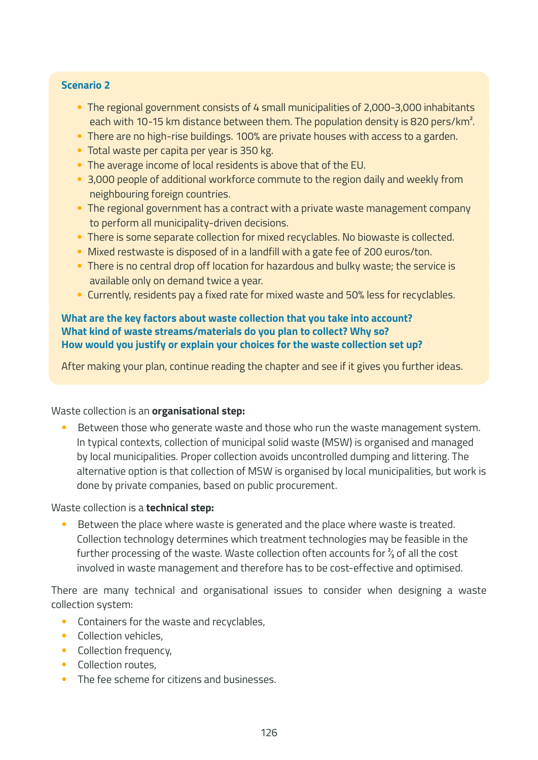#### **Scenario 2**

- The regional government consists of 4 small municipalities of 2,000-3,000 inhabitants each with 10-15 km distance between them. The population density is 820 pers/km<sup>2</sup>.
- There are no high-rise buildings. 100% are private houses with access to a garden.
- Total waste per capita per year is 350 kg.
- The average income of local residents is above that of the EU.
- 3,000 people of additional workforce commute to the region daily and weekly from neighbouring foreign countries.
- The regional government has a contract with a private waste management company to perform all municipality-driven decisions.
- There is some separate collection for mixed recyclables. No biowaste is collected.
- Mixed restwaste is disposed of in a landfill with a gate fee of 200 euros/ton.
- There is no central drop off location for hazardous and bulky waste; the service is available only on demand twice a year.
- Currently, residents pay a fixed rate for mixed waste and 50% less for recyclables.

#### **What are the key factors about waste collection that you take into account? What kind of waste streams/materials do you plan to collect? Why so? How would you justify or explain your choices for the waste collection set up?**

After making your plan, continue reading the chapter and see if it gives you further ideas.

#### Waste collection is an **organisational step:**

Between those who generate waste and those who run the waste management system. In typical contexts, collection of municipal solid waste (MSW) is organised and managed by local municipalities. Proper collection avoids uncontrolled dumping and littering. The alternative option is that collection of MSW is organised by local municipalities, but work is done by private companies, based on public procurement.

Waste collection is a **technical step:**

Between the place where waste is generated and the place where waste is treated. Collection technology determines which treatment technologies may be feasible in the further processing of the waste. Waste collection often accounts for  $\frac{2}{3}$  of all the cost involved in waste management and therefore has to be cost-effective and optimised.

There are many technical and organisational issues to consider when designing a waste collection system:

- Containers for the waste and recyclables,
- Collection vehicles,
- Collection frequency,
- Collection routes,
- The fee scheme for citizens and businesses.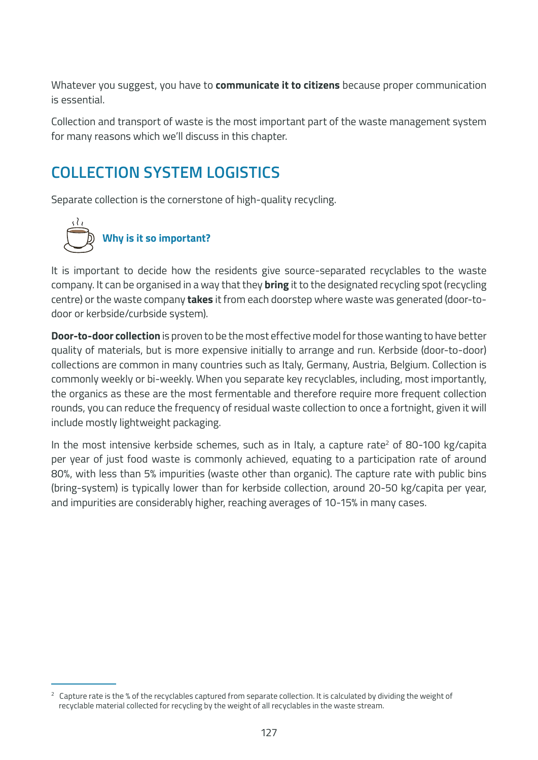Whatever you suggest, you have to **communicate it to citizens** because proper communication is essential.

Collection and transport of waste is the most important part of the waste management system for many reasons which we'll discuss in this chapter.

# **COLLECTION SYSTEM LOGISTICS**

Separate collection is the cornerstone of high-quality recycling.



It is important to decide how the residents give source-separated recyclables to the waste company. It can be organised in a way that they **bring** it to the designated recycling spot (recycling centre) or the waste company **takes** it from each doorstep where waste was generated (door-todoor or kerbside/curbside system).

**Door-to-door collection** is proven to be the most effective model for those wanting to have better quality of materials, but is more expensive initially to arrange and run. Kerbside (door-to-door) collections are common in many countries such as Italy, Germany, Austria, Belgium. Collection is commonly weekly or bi-weekly. When you separate key recyclables, including, most importantly, the organics as these are the most fermentable and therefore require more frequent collection rounds, you can reduce the frequency of residual waste collection to once a fortnight, given it will include mostly lightweight packaging.

In the most intensive kerbside schemes, such as in Italy, a capture rate<sup>2</sup> of 80-100 kg/capita per year of just food waste is commonly achieved, equating to a participation rate of around 80%, with less than 5% impurities (waste other than organic). The capture rate with public bins (bring-system) is typically lower than for kerbside collection, around 20-50 kg/capita per year, and impurities are considerably higher, reaching averages of 10-15% in many cases.

<sup>&</sup>lt;sup>2</sup> Capture rate is the % of the recyclables captured from separate collection. It is calculated by dividing the weight of recyclable material collected for recycling by the weight of all recyclables in the waste stream.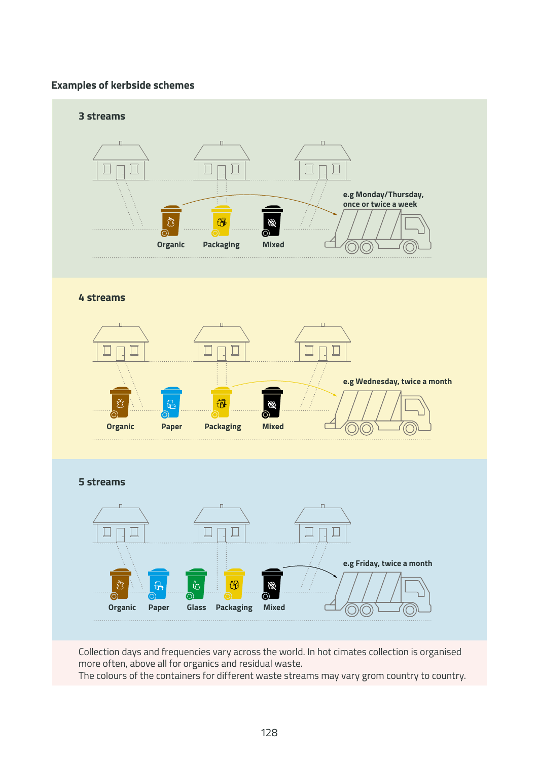#### **Examples of kerbside schemes**



Collection days and frequencies vary across the world. In hot cimates collection is organised more often, above all for organics and residual waste.

The colours of the containers for different waste streams may vary grom country to country.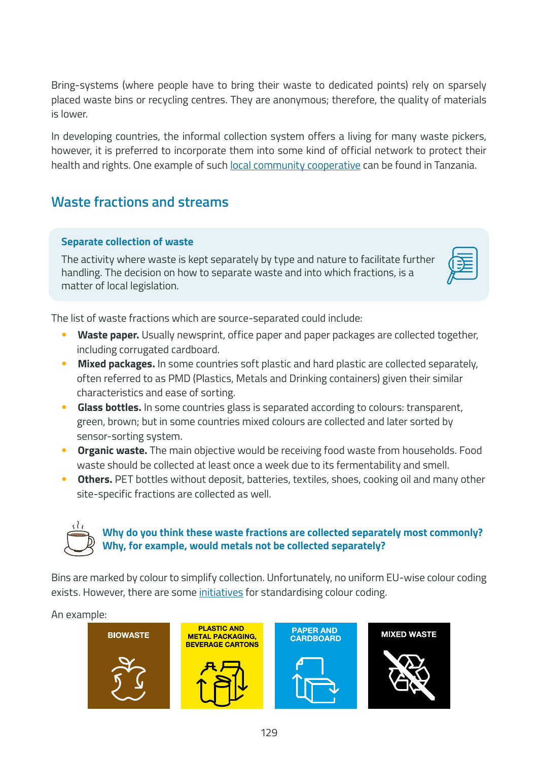Bring-systems (where people have to bring their waste to dedicated points) rely on sparsely placed waste bins or recycling centres. They are anonymous; therefore, the quality of materials is lower.

In developing countries, the informal collection system offers a living for many waste pickers, however, it is preferred to incorporate them into some kind of official network to protect their health and rights. One example of such [local community cooperative](https://letsdoitfoundation.org/2022/03/14/waste-story-from-tanzania-visiting-a-material-recovery-facility/) can be found in Tanzania.

# **Waste fractions and streams**

# **Separate collection of waste**

The activity where waste is kept separately by type and nature to facilitate further handling. The decision on how to separate waste and into which fractions, is a matter of local legislation.



The list of waste fractions which are source-separated could include:

- **Waste paper.** Usually newsprint, office paper and paper packages are collected together, including corrugated cardboard.
- **Mixed packages.** In some countries soft plastic and hard plastic are collected separately, often referred to as PMD (Plastics, Metals and Drinking containers) given their similar characteristics and ease of sorting.
- **Glass bottles.** In some countries glass is separated according to colours: transparent, green, brown; but in some countries mixed colours are collected and later sorted by sensor-sorting system.
- **Organic waste.** The main objective would be receiving food waste from households. Food waste should be collected at least once a week due to its fermentability and smell.
- **Others.** PET bottles without deposit, batteries, textiles, shoes, cooking oil and many other site-specific fractions are collected as well.

# **Why do you think these waste fractions are collected separately most commonly? Why, for example, would metals not be collected separately?**

Bins are marked by colour to simplify collection. Unfortunately, no uniform EU-wise colour coding exists. However, there are some [initiatives](https://www.sverigesorterar.se/in-other-languages/) for standardising colour coding.

# An example:

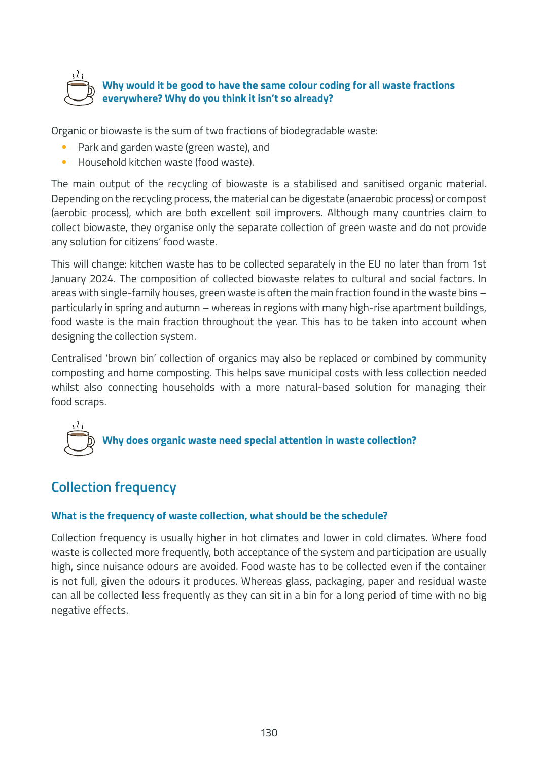

# **Why would it be good to have the same colour coding for all waste fractions everywhere? Why do you think it isn't so already?**

Organic or biowaste is the sum of two fractions of biodegradable waste:

- Park and garden waste (green waste), and
- Household kitchen waste (food waste).

The main output of the recycling of biowaste is a stabilised and sanitised organic material. Depending on the recycling process, the material can be digestate (anaerobic process) or compost (aerobic process), which are both excellent soil improvers. Although many countries claim to collect biowaste, they organise only the separate collection of green waste and do not provide any solution for citizens' food waste.

This will change: kitchen waste has to be collected separately in the EU no later than from 1st January 2024. The composition of collected biowaste relates to cultural and social factors. In areas with single-family houses, green waste is often the main fraction found in the waste bins – particularly in spring and autumn – whereas in regions with many high-rise apartment buildings, food waste is the main fraction throughout the year. This has to be taken into account when designing the collection system.

Centralised 'brown bin' collection of organics may also be replaced or combined by community composting and home composting. This helps save municipal costs with less collection needed whilst also connecting households with a more natural-based solution for managing their food scraps.



# **Collection frequency**

# **What is the frequency of waste collection, what should be the schedule?**

Collection frequency is usually higher in hot climates and lower in cold climates. Where food waste is collected more frequently, both acceptance of the system and participation are usually high, since nuisance odours are avoided. Food waste has to be collected even if the container is not full, given the odours it produces. Whereas glass, packaging, paper and residual waste can all be collected less frequently as they can sit in a bin for a long period of time with no big negative effects.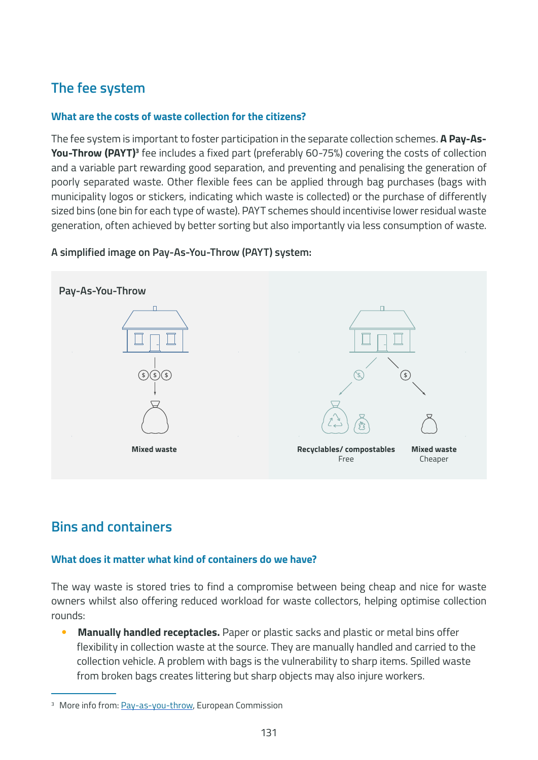# **The fee system**

# **What are the costs of waste collection for the citizens?**

The fee system is important to foster participation in the separate collection schemes. **A Pay-As-You-Throw (PAYT)<sup>3</sup> fee includes a fixed part (preferably 60-75%) covering the costs of collection** and a variable part rewarding good separation, and preventing and penalising the generation of poorly separated waste. Other flexible fees can be applied through bag purchases (bags with municipality logos or stickers, indicating which waste is collected) or the purchase of differently sized bins (one bin for each type of waste). PAYT schemes should incentivise lower residual waste generation, often achieved by better sorting but also importantly via less consumption of waste.



# **A simplified image on Pay-As-You-Throw (PAYT) system:**

# **Bins and containers**

# **What does it matter what kind of containers do we have?**

The way waste is stored tries to find a compromise between being cheap and nice for waste owners whilst also offering reduced workload for waste collectors, helping optimise collection rounds:

• **Manually handled receptacles.** Paper or plastic sacks and plastic or metal bins offer flexibility in collection waste at the source. They are manually handled and carried to the collection vehicle. A problem with bags is the vulnerability to sharp items. Spilled waste from broken bags creates littering but sharp objects may also injure workers.

<sup>&</sup>lt;sup>3</sup> More info from: [Pay-as-you-throw](https://greenbestpractice.jrc.ec.europa.eu/node/7), European Commission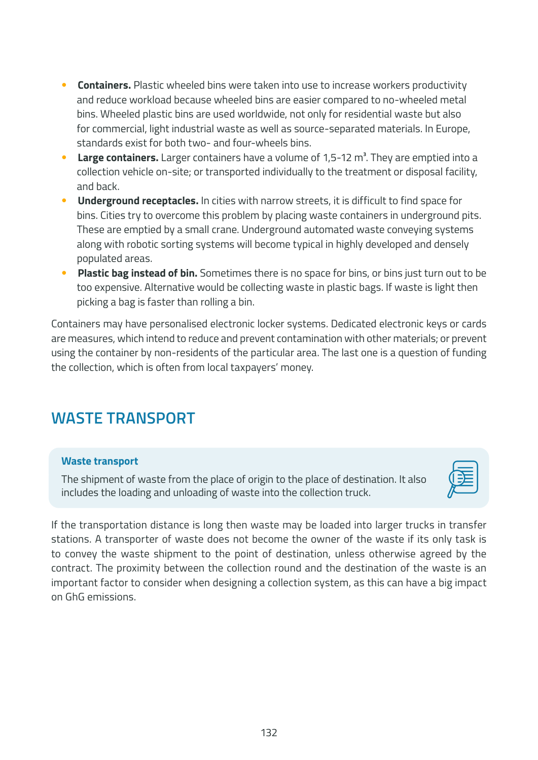- **Containers.** Plastic wheeled bins were taken into use to increase workers productivity and reduce workload because wheeled bins are easier compared to no-wheeled metal bins. Wheeled plastic bins are used worldwide, not only for residential waste but also for commercial, light industrial waste as well as source-separated materials. In Europe, standards exist for both two- and four-wheels bins.
- Large containers. Larger containers have a volume of 1,5-12 m<sup>3</sup>. They are emptied into a collection vehicle on-site; or transported individually to the treatment or disposal facility, and back.
- **Underground receptacles.** In cities with narrow streets, it is difficult to find space for bins. Cities try to overcome this problem by placing waste containers in underground pits. These are emptied by a small crane. Underground automated waste conveying systems along with robotic sorting systems will become typical in highly developed and densely populated areas.
- **Plastic bag instead of bin.** Sometimes there is no space for bins, or bins just turn out to be too expensive. Alternative would be collecting waste in plastic bags. If waste is light then picking a bag is faster than rolling a bin.

Containers may have personalised electronic locker systems. Dedicated electronic keys or cards are measures, which intend to reduce and prevent contamination with other materials; or prevent using the container by non-residents of the particular area. The last one is a question of funding the collection, which is often from local taxpayers' money.

# **WASTE TRANSPORT**

# **Waste transport**

The shipment of waste from the place of origin to the place of destination. It also includes the loading and unloading of waste into the collection truck.



If the transportation distance is long then waste may be loaded into larger trucks in transfer stations. A transporter of waste does not become the owner of the waste if its only task is to convey the waste shipment to the point of destination, unless otherwise agreed by the contract. The proximity between the collection round and the destination of the waste is an important factor to consider when designing a collection system, as this can have a big impact on GhG emissions.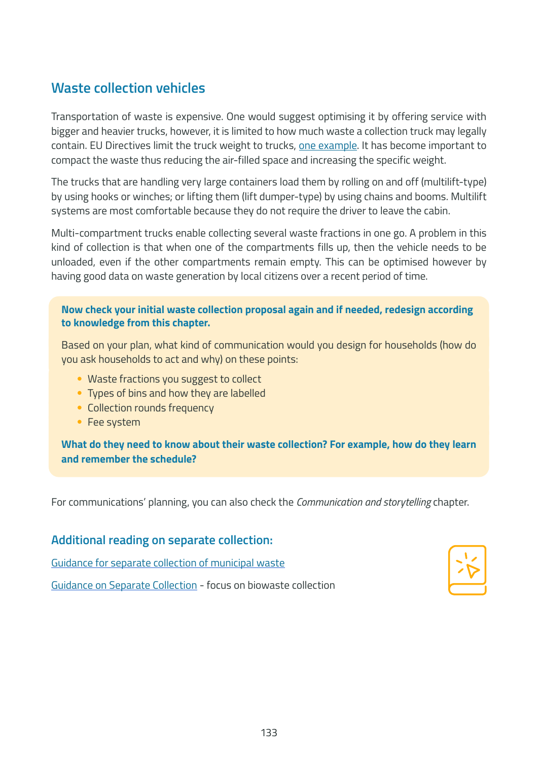# **Waste collection vehicles**

Transportation of waste is expensive. One would suggest optimising it by offering service with bigger and heavier trucks, however, it is limited to how much waste a collection truck may legally contain. EU Directives limit the truck weight to trucks, [one example](https://eur-lex.europa.eu/legal-content/EN/TXT/PDF/?uri=CELEX:32015L0719&from=LV). It has become important to compact the waste thus reducing the air-filled space and increasing the specific weight.

The trucks that are handling very large containers load them by rolling on and off (multilift-type) by using hooks or winches; or lifting them (lift dumper-type) by using chains and booms. Multilift systems are most comfortable because they do not require the driver to leave the cabin.

Multi-compartment trucks enable collecting several waste fractions in one go. A problem in this kind of collection is that when one of the compartments fills up, then the vehicle needs to be unloaded, even if the other compartments remain empty. This can be optimised however by having good data on waste generation by local citizens over a recent period of time.

#### **Now check your initial waste collection proposal again and if needed, redesign according to knowledge from this chapter.**

Based on your plan, what kind of communication would you design for households (how do you ask households to act and why) on these points:

- Waste fractions you suggest to collect
- Types of bins and how they are labelled
- Collection rounds frequency
- Fee system

**What do they need to know about their waste collection? For example, how do they learn and remember the schedule?**

For communications' planning, you can also check the *Communication and storytelling* chapter.

# **Additional reading on separate collection:**

[Guidance for separate collection of municipal waste](https://data.europa.eu/doi/10.2779/691513)

[Guidance on Separate Collection](https://www.compostnetwork.info/download/ecn-guidance-on-separate-collection/) - focus on biowaste collection